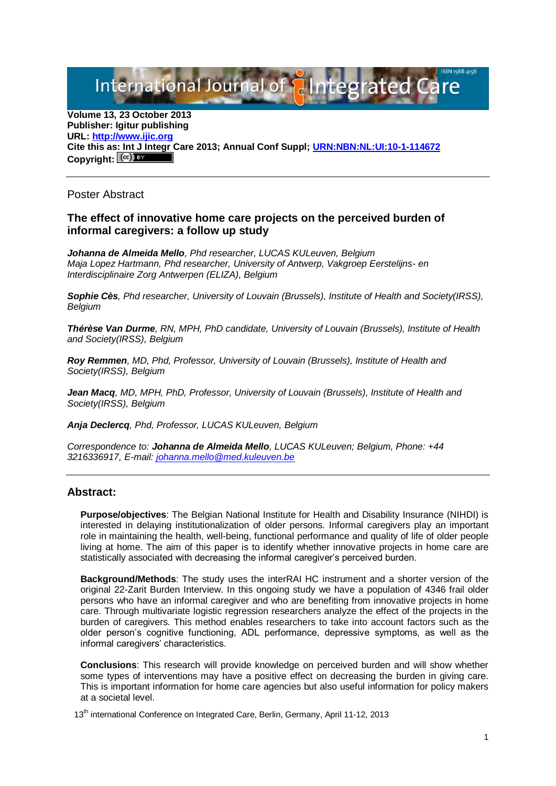# International Journal of **Alntegrated**

**Volume 13, 23 October 2013 Publisher: Igitur publishing URL[: http://www.ijic.org](http://www.ijic.org/) Cite this as: Int J Integr Care 2013; Annual Conf Suppl; [URN:NBN:NL:UI:10-1-114672](http://persistent-identifier.nl/?identifier=URN:NBN:NL:UI:10-1-114672)** Copyright:  $(cc)$  BY

#### Poster Abstract

#### **The effect of innovative home care projects on the perceived burden of informal caregivers: a follow up study**

*Johanna de Almeida Mello, Phd researcher, LUCAS KULeuven, Belgium Maja Lopez Hartmann, Phd researcher, University of Antwerp, Vakgroep Eerstelijns- en Interdisciplinaire Zorg Antwerpen (ELIZA), Belgium*

*Sophie Cès, Phd researcher, University of Louvain (Brussels), Institute of Health and Society(IRSS), Belgium*

*Thérèse Van Durme, RN, MPH, PhD candidate, University of Louvain (Brussels), Institute of Health and Society(IRSS), Belgium*

*Roy Remmen, MD, Phd, Professor, University of Louvain (Brussels), Institute of Health and Society(IRSS), Belgium*

*Jean Macq, MD, MPH, PhD, Professor, University of Louvain (Brussels), Institute of Health and Society(IRSS), Belgium*

*Anja Declercq, Phd, Professor, LUCAS KULeuven, Belgium*

*Correspondence to: Johanna de Almeida Mello, LUCAS KULeuven; Belgium, Phone: +44 3216336917, E-mail: [johanna.mello@med.kuleuven.be](mailto:johanna.mello@med.kuleuven.be)*

### **Abstract:**

**Purpose/objectives**: The Belgian National Institute for Health and Disability Insurance (NIHDI) is interested in delaying institutionalization of older persons. Informal caregivers play an important role in maintaining the health, well-being, functional performance and quality of life of older people living at home. The aim of this paper is to identify whether innovative projects in home care are statistically associated with decreasing the informal caregiver's perceived burden.

**Background/Methods**: The study uses the interRAI HC instrument and a shorter version of the original 22-Zarit Burden Interview. In this ongoing study we have a population of 4346 frail older persons who have an informal caregiver and who are benefiting from innovative projects in home care. Through multivariate logistic regression researchers analyze the effect of the projects in the burden of caregivers. This method enables researchers to take into account factors such as the older person's cognitive functioning, ADL performance, depressive symptoms, as well as the informal caregivers' characteristics.

**Conclusions**: This research will provide knowledge on perceived burden and will show whether some types of interventions may have a positive effect on decreasing the burden in giving care. This is important information for home care agencies but also useful information for policy makers at a societal level.

13<sup>th</sup> international Conference on Integrated Care, Berlin, Germany, April 11-12, 2013